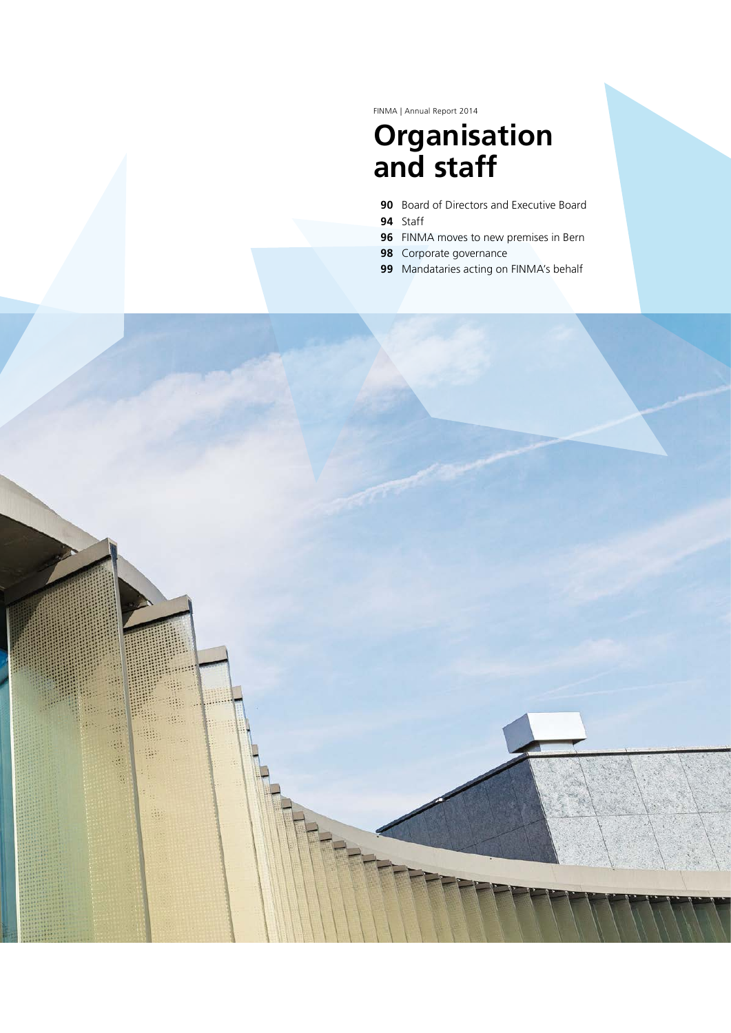FINMA | Annual Report 2014

# **Organisation and staff**

- **90** Board of Directors and Executive Board
- **94** Staff

选

 $\mathcal{L}_{\mathcal{D}}$ 

樂

 $\frac{1}{2}$ 

- **96** FINMA moves to new premises in Bern
- **98** Corporate governance
- **99** Mandataries acting on FINMA's behalf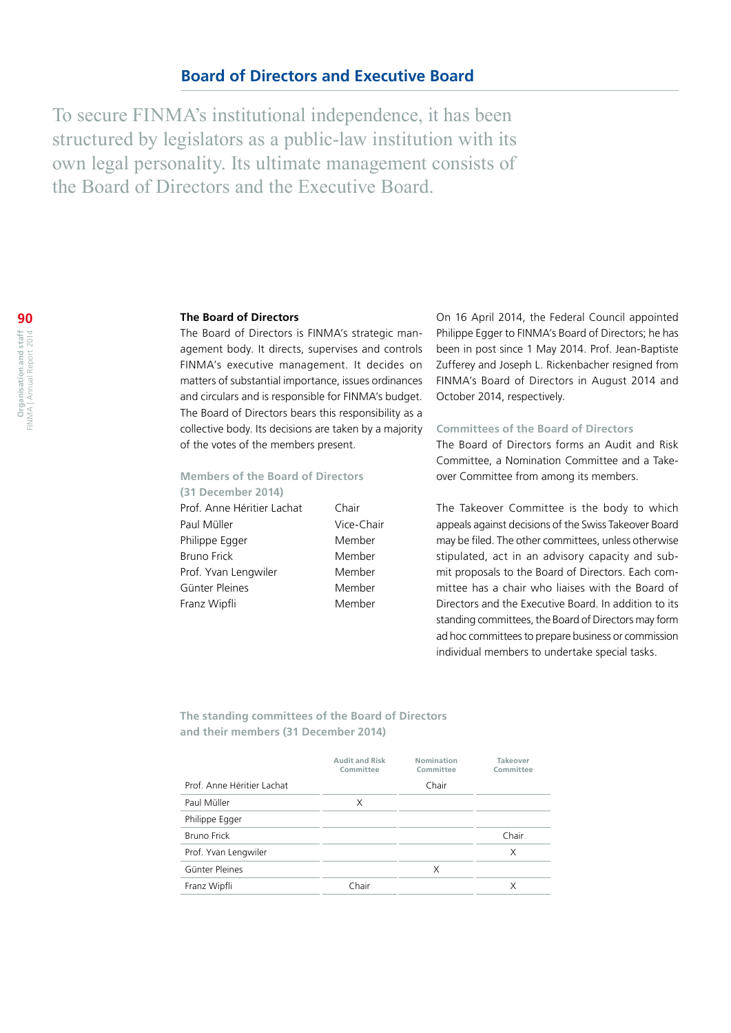To secure FINMA's institutional independence, it has been structured by legislators as a public-law institution with its own legal personality. Its ultimate management consists of the Board of Directors and the Executive Board.

# **The Board of Directors**

The Board of Directors is FINMA's strategic management body. It directs, supervises and controls FINMA's executive management. It decides on matters of substantial importance, issues ordinances and circulars and is responsible for FINMA's budget. The Board of Directors bears this responsibility as a collective body. Its decisions are taken by a majority of the votes of the members present.

# **Members of the Board of Directors**

**(31 December 2014)** Prof. Anne Héritier Lachat Chair Paul Müller Vice-Chair Philippe Egger Member Bruno Frick Member Prof. Yvan Lengwiler Member Günter Pleines Member Franz Wipfli Member

On 16 April 2014, the Federal Council appointed Philippe Egger to FINMA's Board of Directors; he has been in post since 1 May 2014. Prof. Jean-Baptiste Zufferey and Joseph L. Rickenbacher resigned from FINMA's Board of Directors in August 2014 and October 2014, respectively.

# **Committees of the Board of Directors**

The Board of Directors forms an Audit and Risk Committee, a Nomination Committee and a Takeover Committee from among its members.

The Takeover Committee is the body to which appeals against decisions of the Swiss Takeover Board may be filed. The other committees, unless otherwise stipulated, act in an advisory capacity and submit proposals to the Board of Directors. Each committee has a chair who liaises with the Board of Directors and the Executive Board. In addition to its standing committees, the Board of Directors may form ad hoc committees to prepare business or commission individual members to undertake special tasks.

**The standing committees of the Board of Directors and their members (31 December 2014)**

|                            | <b>Audit and Risk</b><br>Committee | Nomination<br>Committee | Takeover<br>Committee |
|----------------------------|------------------------------------|-------------------------|-----------------------|
| Prof. Anne Héritier Lachat |                                    | Chair                   |                       |
| Paul Müller                | X                                  |                         |                       |
| Philippe Egger             |                                    |                         |                       |
| <b>Bruno Frick</b>         |                                    |                         | Chair                 |
| Prof. Yvan Lengwiler       |                                    |                         | X                     |
| Günter Pleines             |                                    | X                       |                       |
| Franz Wipfli               | Chair                              |                         | X                     |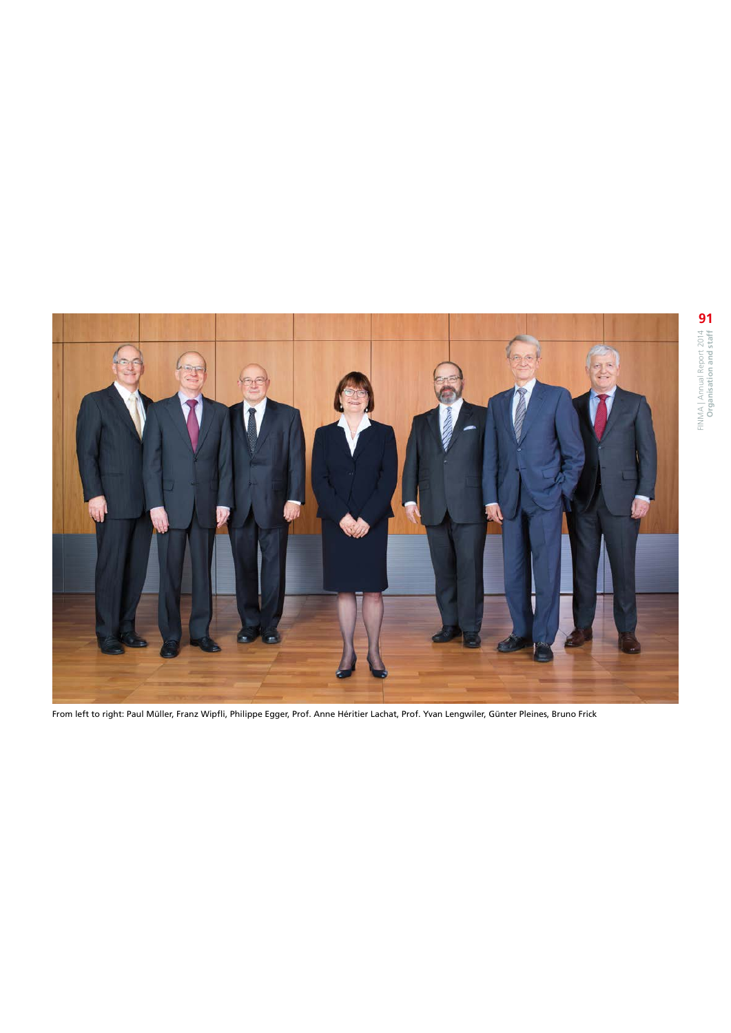

From left to right: Paul Müller, Franz Wipfli, Philippe Egger, Prof. Anne Héritier Lachat, Prof. Yvan Lengwiler, Günter Pleines, Bruno Frick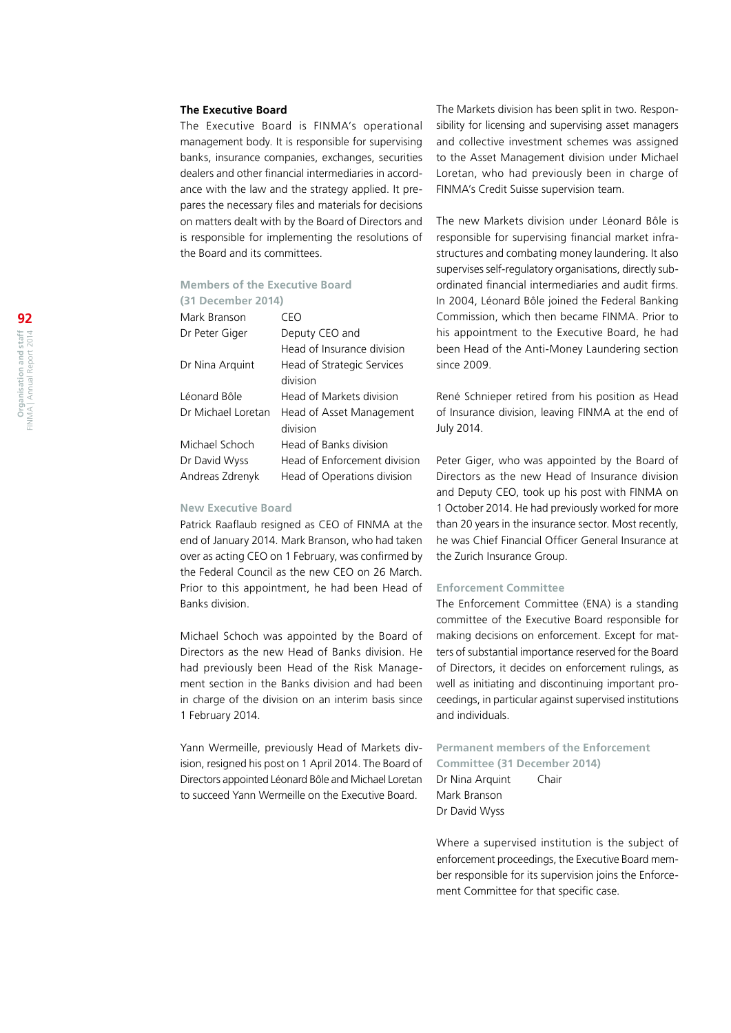#### **The Executive Board**

The Executive Board is FINMA's operational management body. It is responsible for supervising banks, insurance companies, exchanges, securities dealers and other financial intermediaries in accordance with the law and the strategy applied. It prepares the necessary files and materials for decisions on matters dealt with by the Board of Directors and is responsible for implementing the resolutions of the Board and its committees.

# **Members of the Executive Board**

# **(31 December 2014)**

| Mark Branson       | CFN                          |
|--------------------|------------------------------|
| Dr Peter Giger     | Deputy CEO and               |
|                    | Head of Insurance division   |
| Dr Nina Arquint    | Head of Strategic Services   |
|                    | division                     |
| Léonard Bôle       | Head of Markets division     |
| Dr Michael Loretan | Head of Asset Management     |
|                    | division                     |
| Michael Schoch     | Head of Banks division       |
| Dr David Wyss      | Head of Enforcement division |
| Andreas Zdrenyk    | Head of Operations division  |
|                    |                              |

#### **New Executive Board**

Patrick Raaflaub resigned as CEO of FINMA at the end of January 2014. Mark Branson, who had taken over as acting CEO on 1 February, was confirmed by the Federal Council as the new CEO on 26 March. Prior to this appointment, he had been Head of Banks division.

Michael Schoch was appointed by the Board of Directors as the new Head of Banks division. He had previously been Head of the Risk Management section in the Banks division and had been in charge of the division on an interim basis since 1 February 2014.

Yann Wermeille, previously Head of Markets division, resigned his post on 1 April 2014. The Board of Directors appointed Léonard Bôle and Michael Loretan to succeed Yann Wermeille on the Executive Board.

The Markets division has been split in two. Responsibility for licensing and supervising asset managers and collective investment schemes was assigned to the Asset Management division under Michael Loretan, who had previously been in charge of FINMA's Credit Suisse supervision team.

The new Markets division under Léonard Bôle is responsible for supervising financial market infrastructures and combating money laundering. It also supervises self-regulatory organisations, directly subordinated financial intermediaries and audit firms. In 2004, Léonard Bôle joined the Federal Banking Commission, which then became FINMA. Prior to his appointment to the Executive Board, he had been Head of the Anti-Money Laundering section since 2009.

René Schnieper retired from his position as Head of Insurance division, leaving FINMA at the end of July 2014.

Peter Giger, who was appointed by the Board of Directors as the new Head of Insurance division and Deputy CEO, took up his post with FINMA on 1 October 2014. He had previously worked for more than 20 years in the insurance sector. Most recently, he was Chief Financial Officer General Insurance at the Zurich Insurance Group.

# **Enforcement Committee**

The Enforcement Committee (ENA) is a standing committee of the Executive Board responsible for making decisions on enforcement. Except for matters of substantial importance reserved for the Board of Directors, it decides on enforcement rulings, as well as initiating and discontinuing important proceedings, in particular against supervised institutions and individuals.

**Permanent members of the Enforcement Committee (31 December 2014)**

Dr Nina Arquint Chair Mark Branson Dr David Wyss

Where a supervised institution is the subject of enforcement proceedings, the Executive Board member responsible for its supervision joins the Enforcement Committee for that specific case.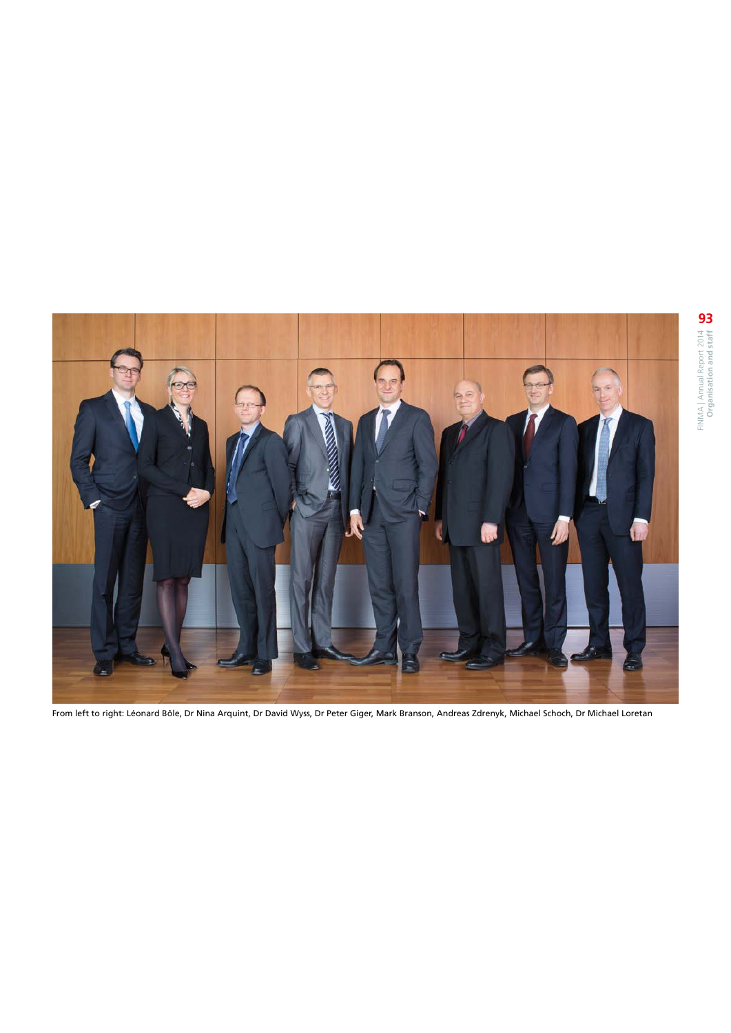

From left to right: Léonard Bôle, Dr Nina Arquint, Dr David Wyss, Dr Peter Giger, Mark Branson, Andreas Zdrenyk, Michael Schoch, Dr Michael Loretan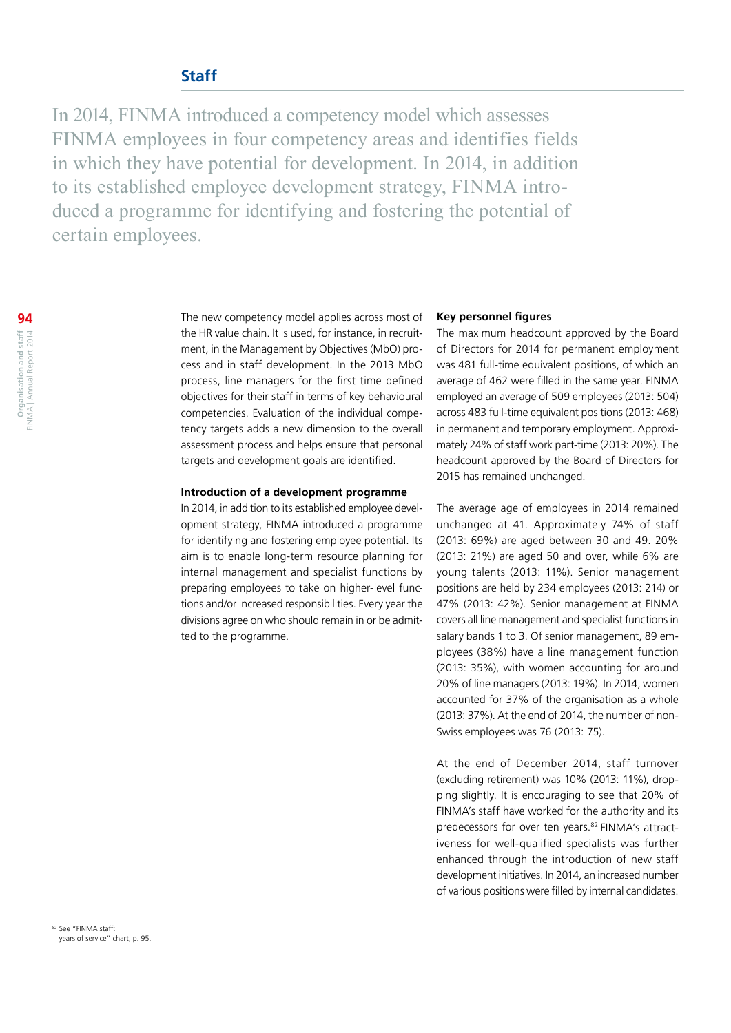# **Staff**

In 2014, FINMA introduced a competency model which assesses FINMA employees in four competency areas and identifies fields in which they have potential for development. In 2014, in addition to its established employee development strategy, FINMA introduced a programme for identifying and fostering the potential of certain employees.

> The new competency model applies across most of the HR value chain. It is used, for instance, in recruitment, in the Management by Objectives (MbO) process and in staff development. In the 2013 MbO process, line managers for the first time defined objectives for their staff in terms of key behavioural competencies. Evaluation of the individual competency targets adds a new dimension to the overall assessment process and helps ensure that personal targets and development goals are identified.

### **Introduction of a development programme**

In 2014, in addition to its established employee development strategy, FINMA introduced a programme for identifying and fostering employee potential. Its aim is to enable long-term resource planning for internal management and specialist functions by preparing employees to take on higher-level functions and/or increased responsibilities. Every year the divisions agree on who should remain in or be admitted to the programme.

# **Key personnel figures**

The maximum headcount approved by the Board of Directors for 2014 for permanent employment was 481 full-time equivalent positions, of which an average of 462 were filled in the same year. FINMA employed an average of 509 employees (2013: 504) across 483 full-time equivalent positions (2013: 468) in permanent and temporary employment. Approximately 24% of staff work part-time (2013: 20%). The headcount approved by the Board of Directors for 2015 has remained unchanged.

The average age of employees in 2014 remained unchanged at 41. Approximately 74% of staff (2013: 69%) are aged between 30 and 49. 20% (2013: 21%) are aged 50 and over, while 6% are young talents (2013: 11%). Senior management positions are held by 234 employees (2013: 214) or 47% (2013: 42%). Senior management at FINMA covers all line management and specialist functions in salary bands 1 to 3. Of senior management, 89 employees (38%) have a line management function (2013: 35%), with women accounting for around 20% of line managers (2013: 19%). In 2014, women accounted for 37% of the organisation as a whole (2013: 37%). At the end of 2014, the number of non-Swiss employees was 76 (2013: 75).

At the end of December 2014, staff turnover (excluding retirement) was 10% (2013: 11%), dropping slightly. It is encouraging to see that 20% of FINMA's staff have worked for the authority and its predecessors for over ten years.<sup>82</sup> FINMA's attractiveness for well-qualified specialists was further enhanced through the introduction of new staff development initiatives. In 2014, an increased number of various positions were filled by internal candidates.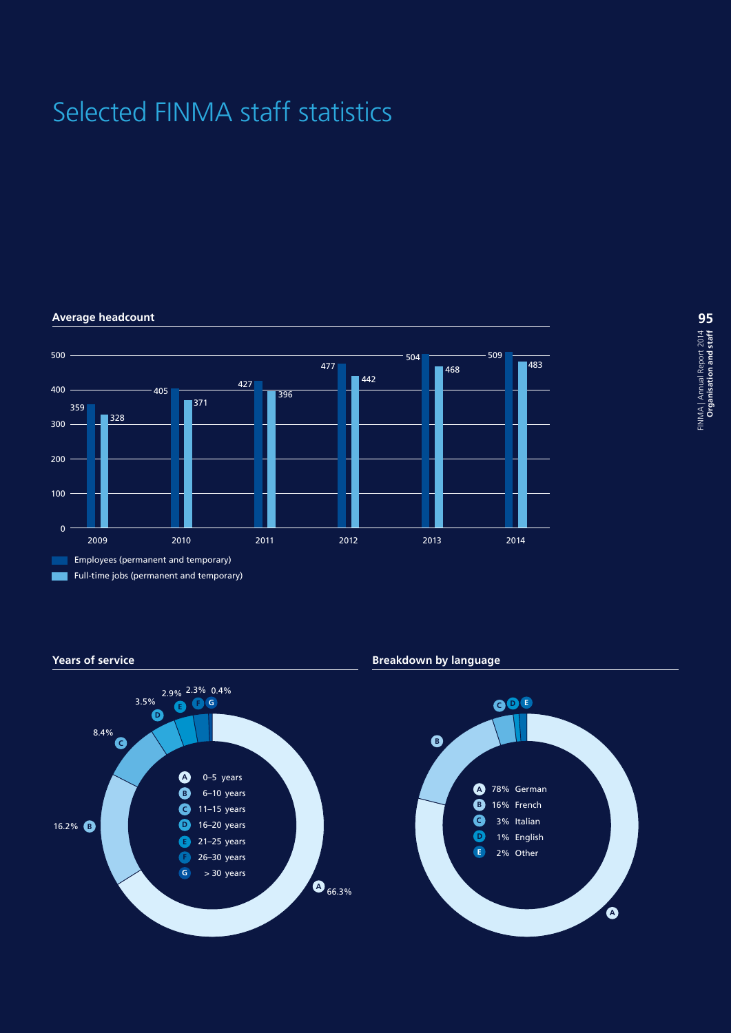# Selected FINMA staff statistics

#### 500 509 504 483 477 468 442 427 400 405 396 371 359 328 300 200 100  $\overline{0}$ 2009 2010 2011 2012 2013 2014 Employees (permanent and temporary) Full-time jobs (permanent and temporary) г

**Average headcount**

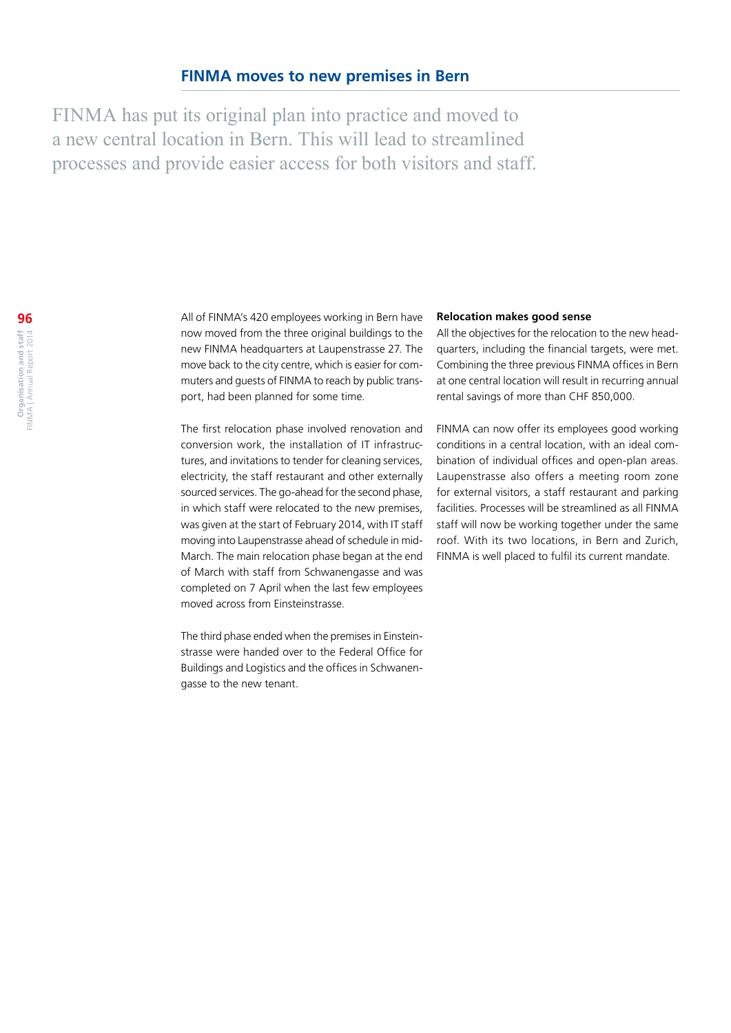FINMA has put its original plan into practice and moved to a new central location in Bern. This will lead to streamlined processes and provide easier access for both visitors and staff.

All of FINMA's 420 employees working in Bern have now moved from the three original buildings to the new FINMA headquarters at Laupenstrasse 27. The move back to the city centre, which is easier for commuters and guests of FINMA to reach by public transport, had been planned for some time.

The first relocation phase involved renovation and conversion work, the installation of IT infrastructures, and invitations to tender for cleaning services, electricity, the staff restaurant and other externally sourced services. The go-ahead for the second phase, in which staff were relocated to the new premises, was given at the start of February 2014, with IT staff moving into Laupenstrasse ahead of schedule in mid-March. The main relocation phase began at the end of March with staff from Schwanengasse and was completed on 7 April when the last few employees moved across from Einsteinstrasse.

The third phase ended when the premises in Einsteinstrasse were handed over to the Federal Office for Buildings and Logistics and the offices in Schwanengasse to the new tenant.

# **Relocation makes good sense**

All the objectives for the relocation to the new headquarters, including the financial targets, were met. Combining the three previous FINMA offices in Bern at one central location will result in recurring annual rental savings of more than CHF 850,000.

FINMA can now offer its employees good working conditions in a central location, with an ideal combination of individual offices and open-plan areas. Laupenstrasse also offers a meeting room zone for external visitors, a staff restaurant and parking facilities. Processes will be streamlined as all FINMA staff will now be working together under the same roof. With its two locations, in Bern and Zurich, FINMA is well placed to fulfil its current mandate.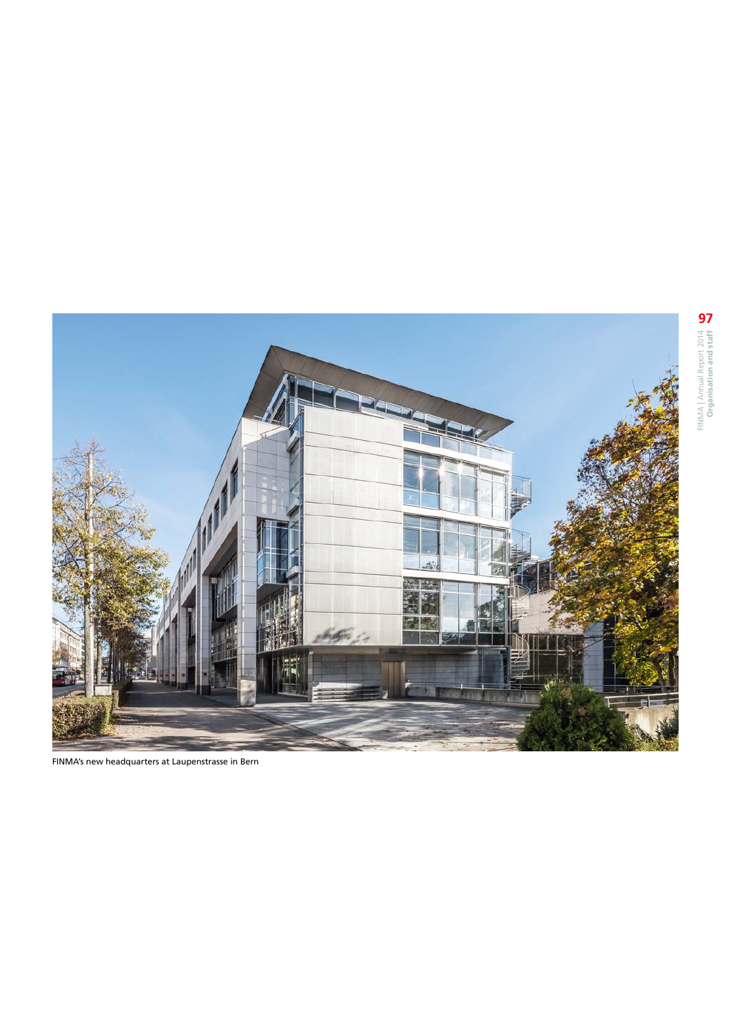

FINMA | Annual Report 2014 **Organisation and staff**  FINMA | Annual Report 2014<br>**Organisation and staff** 

FINMA's new headquarters at Laupenstrasse in Bern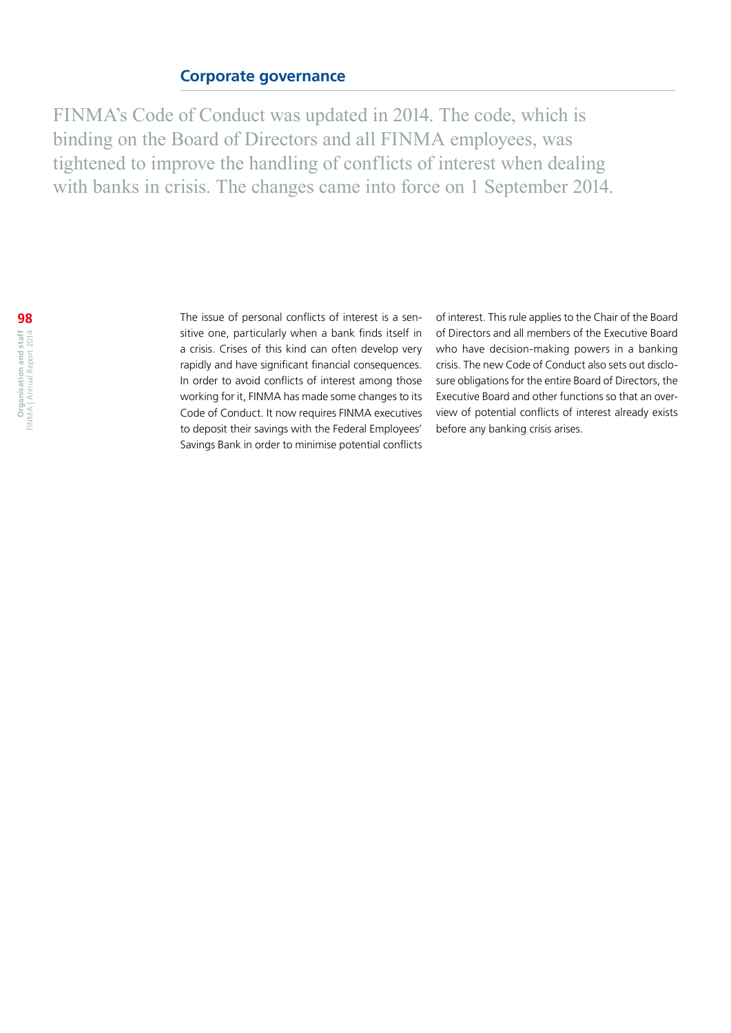# **Corporate governance**

FINMA's Code of Conduct was updated in 2014. The code, which is binding on the Board of Directors and all FINMA employees, was tightened to improve the handling of conflicts of interest when dealing with banks in crisis. The changes came into force on 1 September 2014.

The issue of personal conflicts of interest is a sensitive one, particularly when a bank finds itself in a crisis. Crises of this kind can often develop very rapidly and have significant financial consequences. In order to avoid conflicts of interest among those working for it, FINMA has made some changes to its Code of Conduct. It now requires FINMA executives to deposit their savings with the Federal Employees' Savings Bank in order to minimise potential conflicts

of interest. This rule applies to the Chair of the Board of Directors and all members of the Executive Board who have decision-making powers in a banking crisis. The new Code of Conduct also sets out disclosure obligations for the entire Board of Directors, the Executive Board and other functions so that an overview of potential conflicts of interest already exists before any banking crisis arises.